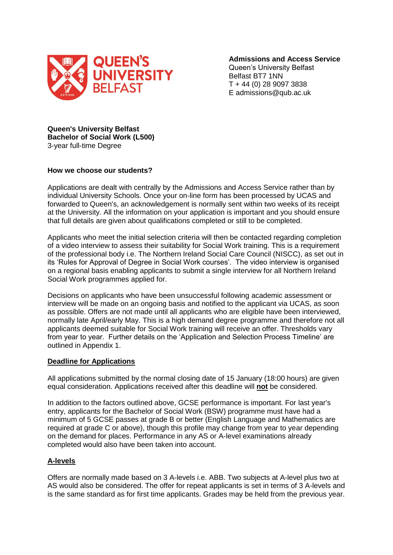

**Admissions and Access Service**

Queen's University Belfast Belfast BT7 1NN T + 44 (0) 28 9097 3838 E admissions@qub.ac.uk

**Queen's University Belfast Bachelor of Social Work (L500)** 3-year full-time Degree

#### **How we choose our students?**

Applications are dealt with centrally by the Admissions and Access Service rather than by individual University Schools. Once your on-line form has been processed by UCAS and forwarded to Queen's, an acknowledgement is normally sent within two weeks of its receipt at the University. All the information on your application is important and you should ensure that full details are given about qualifications completed or still to be completed.

Applicants who meet the initial selection criteria will then be contacted regarding completion of a video interview to assess their suitability for Social Work training. This is a requirement of the professional body i.e. The Northern Ireland Social Care Council (NISCC), as set out in its 'Rules for Approval of Degree in Social Work courses'. The video interview is organised on a regional basis enabling applicants to submit a single interview for all Northern Ireland Social Work programmes applied for.

Decisions on applicants who have been unsuccessful following academic assessment or interview will be made on an ongoing basis and notified to the applicant via UCAS, as soon as possible. Offers are not made until all applicants who are eligible have been interviewed, normally late April/early May. This is a high demand degree programme and therefore not all applicants deemed suitable for Social Work training will receive an offer. Thresholds vary from year to year. Further details on the 'Application and Selection Process Timeline' are outlined in Appendix 1.

#### **Deadline for Applications**

All applications submitted by the normal closing date of 15 January (18:00 hours) are given equal consideration. Applications received after this deadline will **not** be considered.

In addition to the factors outlined above, GCSE performance is important. For last year's entry, applicants for the Bachelor of Social Work (BSW) programme must have had a minimum of 5 GCSE passes at grade B or better (English Language and Mathematics are required at grade C or above), though this profile may change from year to year depending on the demand for places. Performance in any AS or A-level examinations already completed would also have been taken into account.

#### **A-levels**

Offers are normally made based on 3 A-levels i.e. ABB. Two subjects at A-level plus two at AS would also be considered. The offer for repeat applicants is set in terms of 3 A-levels and is the same standard as for first time applicants. Grades may be held from the previous year.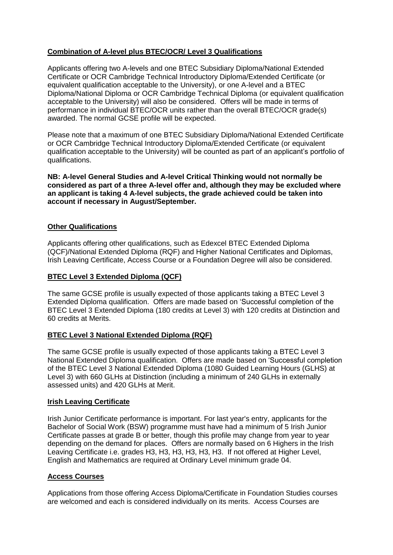# **Combination of A-level plus BTEC/OCR/ Level 3 Qualifications**

Applicants offering two A-levels and one BTEC Subsidiary Diploma/National Extended Certificate or OCR Cambridge Technical Introductory Diploma/Extended Certificate (or equivalent qualification acceptable to the University), or one A-level and a BTEC Diploma/National Diploma or OCR Cambridge Technical Diploma (or equivalent qualification acceptable to the University) will also be considered. Offers will be made in terms of performance in individual BTEC/OCR units rather than the overall BTEC/OCR grade(s) awarded. The normal GCSE profile will be expected.

Please note that a maximum of one BTEC Subsidiary Diploma/National Extended Certificate or OCR Cambridge Technical Introductory Diploma/Extended Certificate (or equivalent qualification acceptable to the University) will be counted as part of an applicant's portfolio of qualifications.

**NB: A-level General Studies and A-level Critical Thinking would not normally be considered as part of a three A-level offer and, although they may be excluded where an applicant is taking 4 A-level subjects, the grade achieved could be taken into account if necessary in August/September.** 

## **Other Qualifications**

Applicants offering other qualifications, such as Edexcel BTEC Extended Diploma (QCF)/National Extended Diploma (RQF) and Higher National Certificates and Diplomas, Irish Leaving Certificate, Access Course or a Foundation Degree will also be considered.

## **BTEC Level 3 Extended Diploma (QCF)**

The same GCSE profile is usually expected of those applicants taking a BTEC Level 3 Extended Diploma qualification. Offers are made based on 'Successful completion of the BTEC Level 3 Extended Diploma (180 credits at Level 3) with 120 credits at Distinction and 60 credits at Merits.

## **BTEC Level 3 National Extended Diploma (RQF)**

The same GCSE profile is usually expected of those applicants taking a BTEC Level 3 National Extended Diploma qualification. Offers are made based on 'Successful completion of the BTEC Level 3 National Extended Diploma (1080 Guided Learning Hours (GLHS) at Level 3) with 660 GLHs at Distinction (including a minimum of 240 GLHs in externally assessed units) and 420 GLHs at Merit.

#### **Irish Leaving Certificate**

Irish Junior Certificate performance is important. For last year's entry, applicants for the Bachelor of Social Work (BSW) programme must have had a minimum of 5 Irish Junior Certificate passes at grade B or better, though this profile may change from year to year depending on the demand for places. Offers are normally based on 6 Highers in the Irish Leaving Certificate i.e. grades H3, H3, H3, H3, H3, H3. If not offered at Higher Level, English and Mathematics are required at Ordinary Level minimum grade 04.

## **Access Courses**

Applications from those offering Access Diploma/Certificate in Foundation Studies courses are welcomed and each is considered individually on its merits. Access Courses are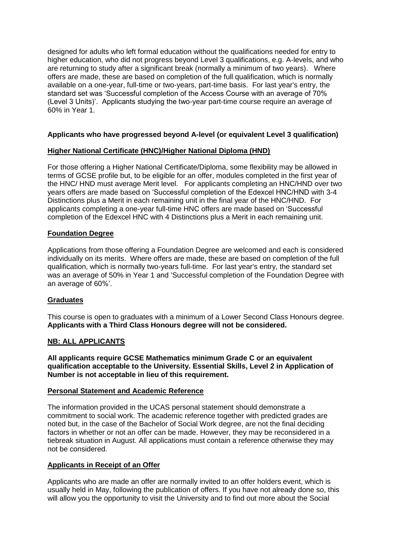designed for adults who left formal education without the qualifications needed for entry to higher education, who did not progress beyond Level 3 qualifications, e.g. A-levels, and who are returning to study after a significant break (normally a minimum of two years). Where offers are made, these are based on completion of the full qualification, which is normally available on a one-year, full-time or two-years, part-time basis. For last year's entry, the standard set was 'Successful completion of the Access Course with an average of 70% (Level 3 Units)'. Applicants studying the two-year part-time course require an average of 60% in Year 1.

# **Applicants who have progressed beyond A-level (or equivalent Level 3 qualification)**

## **Higher National Certificate (HNC)/Higher National Diploma (HND)**

For those offering a Higher National Certificate/Diploma, some flexibility may be allowed in terms of GCSE profile but, to be eligible for an offer, modules completed in the first year of the HNC/ HND must average Merit level. For applicants completing an HNC/HND over two years offers are made based on 'Successful completion of the Edexcel HNC/HND with 3-4 Distinctions plus a Merit in each remaining unit in the final year of the HNC/HND. For applicants completing a one-year full-time HNC offers are made based on 'Successful completion of the Edexcel HNC with 4 Distinctions plus a Merit in each remaining unit.

## **Foundation Degree**

Applications from those offering a Foundation Degree are welcomed and each is considered individually on its merits. Where offers are made, these are based on completion of the full qualification, which is normally two-years full-time. For last year's entry, the standard set was an average of 50% in Year 1 and 'Successful completion of the Foundation Degree with an average of 60%'.

## **Graduates**

This course is open to graduates with a minimum of a Lower Second Class Honours degree. **Applicants with a Third Class Honours degree will not be considered.** 

## **NB: ALL APPLICANTS**

**All applicants require GCSE Mathematics minimum Grade C or an equivalent qualification acceptable to the University. Essential Skills, Level 2 in Application of Number is not acceptable in lieu of this requirement.**

## **Personal Statement and Academic Reference**

The information provided in the UCAS personal statement should demonstrate a commitment to social work. The academic reference together with predicted grades are noted but, in the case of the Bachelor of Social Work degree, are not the final deciding factors in whether or not an offer can be made. However, they may be reconsidered in a tiebreak situation in August. All applications must contain a reference otherwise they may not be considered.

## **Applicants in Receipt of an Offer**

Applicants who are made an offer are normally invited to an offer holders event, which is usually held in May, following the publication of offers. If you have not already done so, this will allow you the opportunity to visit the University and to find out more about the Social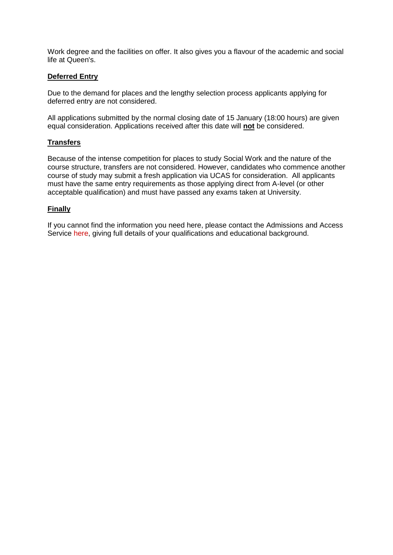Work degree and the facilities on offer. It also gives you a flavour of the academic and social life at Queen's.

#### **Deferred Entry**

Due to the demand for places and the lengthy selection process applicants applying for deferred entry are not considered.

All applications submitted by the normal closing date of 15 January (18:00 hours) are given equal consideration. Applications received after this date will **not** be considered.

## **Transfers**

Because of the intense competition for places to study Social Work and the nature of the course structure, transfers are not considered. However, candidates who commence another course of study may submit a fresh application via UCAS for consideration. All applicants must have the same entry requirements as those applying direct from A-level (or other acceptable qualification) and must have passed any exams taken at University.

## **Finally**

If you cannot find the information you need here, please contact the Admissions and Access Service [here,](mailto:admissionsbsw@qub.ac.uk) giving full details of your qualifications and educational background.